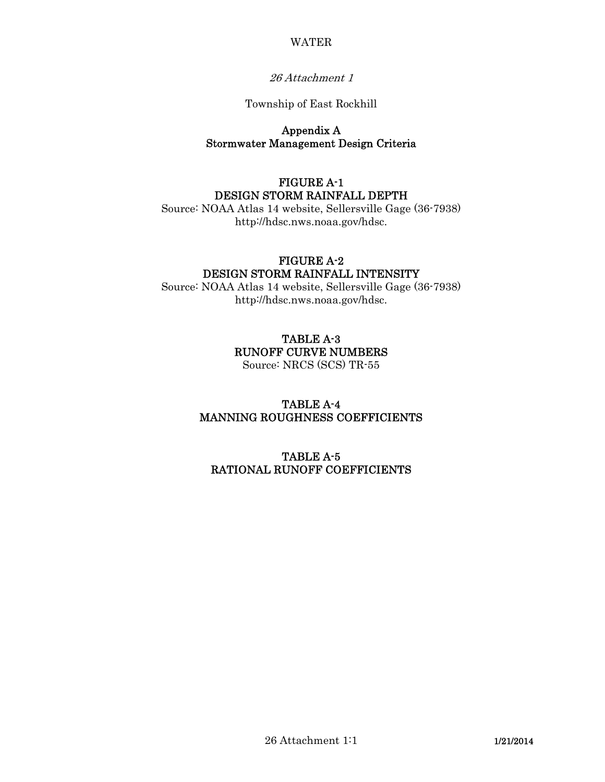#### WATER

### 26 Attachment 1

#### Township of East Rockhill

### Appendix A Stormwater Management Design Criteria

# FIGURE A-1 DESIGN STORM RAINFALL DEPTH

Source: NOAA Atlas 14 website, Sellersville Gage (36-7938) http://hdsc.nws.noaa.gov/hdsc.

### FIGURE A-2 DESIGN STORM RAINFALL INTENSITY

Source: NOAA Atlas 14 website, Sellersville Gage (36-7938) http://hdsc.nws.noaa.gov/hdsc.

# TABLE A-3 RUNOFF CURVE NUMBERS

Source: NRCS (SCS) TR-55

# TABLE A-4 MANNING ROUGHNESS COEFFICIENTS

# TABLE A-5 RATIONAL RUNOFF COEFFICIENTS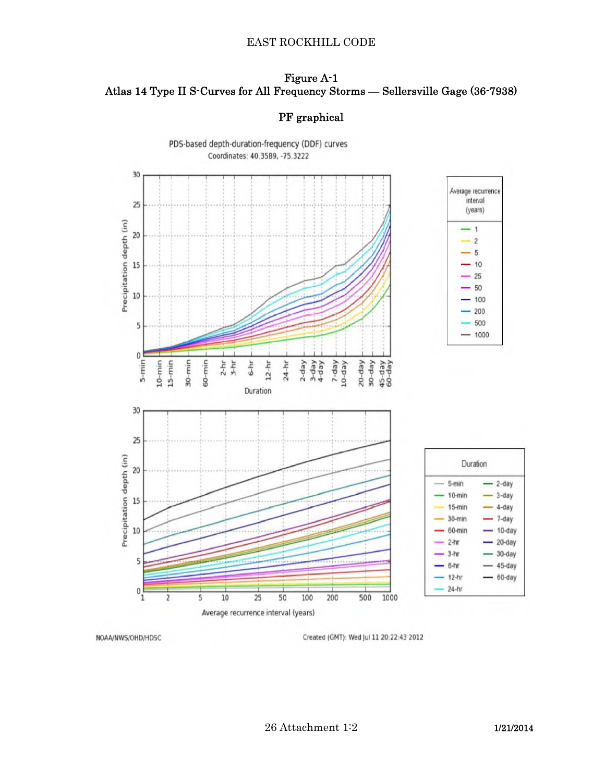#### EAST ROCKHILL CODE

# Figure A-1 Atlas 14 Type II S-Curves for All Frequency Storms — Sellersville Gage (36-7938)

# PF graphical



NOAA/NWS/OHD/HDSC

Created (GMT): Wed Jul 11 20:22:43 2012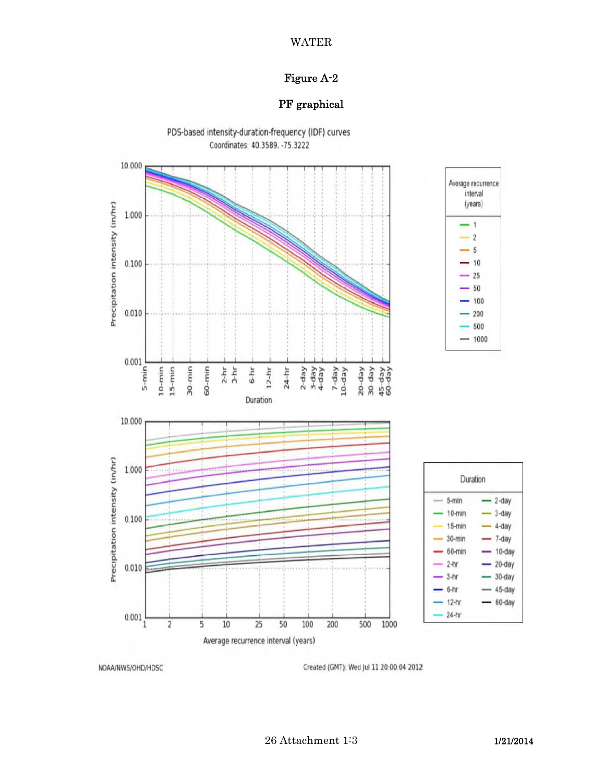### WATER

# Figure A-2

# PF graphical



NOAA/NWS/OHD/HDSC

Created (GMT): Wed Jul 11 20:00:04 2012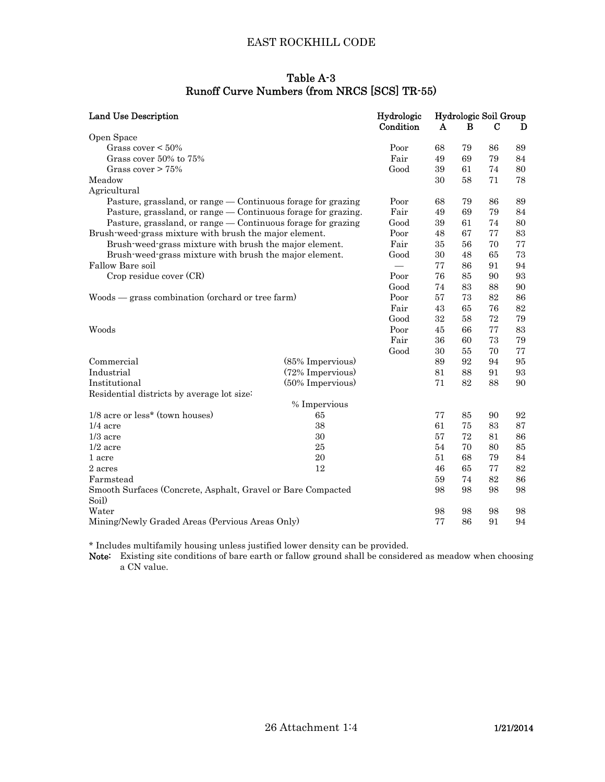# EAST ROCKHILL CODE

## Table A-3 Runoff Curve Numbers (from NRCS [SCS] TR-55)

| <b>Land Use Description</b>                                           | Hydrologic<br>Condition | Hydrologic Soil Group<br>$\mathbf{A}$<br>B<br>C<br>D |    |    |    |    |
|-----------------------------------------------------------------------|-------------------------|------------------------------------------------------|----|----|----|----|
| Open Space                                                            |                         |                                                      |    |    |    |    |
| Grass cover $\leq 50\%$                                               |                         | Poor                                                 | 68 | 79 | 86 | 89 |
| Grass cover 50% to 75%                                                |                         | Fair                                                 | 49 | 69 | 79 | 84 |
| Grass cover $> 75\%$                                                  |                         | Good                                                 | 39 | 61 | 74 | 80 |
| Meadow                                                                |                         |                                                      | 30 | 58 | 71 | 78 |
| Agricultural                                                          |                         |                                                      |    |    |    |    |
| Pasture, grassland, or range — Continuous forage for grazing          |                         | Poor                                                 | 68 | 79 | 86 | 89 |
| Pasture, grassland, or range — Continuous forage for grazing.         | Fair                    | 49                                                   | 69 | 79 | 84 |    |
| Pasture, grassland, or range — Continuous forage for grazing          | Good                    | 39                                                   | 61 | 74 | 80 |    |
| Brush-weed-grass mixture with brush the major element.                |                         | Poor                                                 | 48 | 67 | 77 | 83 |
| Brush-weed-grass mixture with brush the major element.                | Fair                    | 35                                                   | 56 | 70 | 77 |    |
| Brush-weed-grass mixture with brush the major element.                |                         | Good                                                 | 30 | 48 | 65 | 73 |
| Fallow Bare soil                                                      |                         | $\overline{\phantom{0}}$                             | 77 | 86 | 91 | 94 |
| Crop residue cover (CR)                                               |                         | Poor                                                 | 76 | 85 | 90 | 93 |
|                                                                       |                         | Good                                                 | 74 | 83 | 88 | 90 |
| Woods — grass combination (orchard or tree farm)                      | Poor                    | 57                                                   | 73 | 82 | 86 |    |
|                                                                       |                         | Fair                                                 | 43 | 65 | 76 | 82 |
|                                                                       |                         | Good                                                 | 32 | 58 | 72 | 79 |
| Woods                                                                 |                         | Poor                                                 | 45 | 66 | 77 | 83 |
|                                                                       |                         | Fair                                                 | 36 | 60 | 73 | 79 |
|                                                                       |                         | Good                                                 | 30 | 55 | 70 | 77 |
| Commercial                                                            | (85% Impervious)        |                                                      | 89 | 92 | 94 | 95 |
| Industrial                                                            | (72% Impervious)        |                                                      | 81 | 88 | 91 | 93 |
| Institutional                                                         | (50% Impervious)        |                                                      | 71 | 82 | 88 | 90 |
| Residential districts by average lot size:                            |                         |                                                      |    |    |    |    |
|                                                                       | % Impervious            |                                                      |    |    |    |    |
| 1/8 acre or less* (town houses)                                       | 65                      |                                                      | 77 | 85 | 90 | 92 |
| $1/4$ acre                                                            | 38                      |                                                      | 61 | 75 | 83 | 87 |
| $1/3$ acre                                                            | 30                      |                                                      | 57 | 72 | 81 | 86 |
| $1/2$ acre                                                            | 25                      |                                                      | 54 | 70 | 80 | 85 |
| 1 acre                                                                | 20                      |                                                      | 51 | 68 | 79 | 84 |
| 2 acres                                                               | 12                      |                                                      | 46 | 65 | 77 | 82 |
| Farmstead                                                             |                         |                                                      | 59 | 74 | 82 | 86 |
| Smooth Surfaces (Concrete, Asphalt, Gravel or Bare Compacted<br>Soil) |                         | 98                                                   | 98 | 98 | 98 |    |
| Water                                                                 |                         |                                                      | 98 | 98 | 98 | 98 |
| Mining/Newly Graded Areas (Pervious Areas Only)                       |                         |                                                      | 77 | 86 | 91 | 94 |

\* Includes multifamily housing unless justified lower density can be provided.

Note: Existing site conditions of bare earth or fallow ground shall be considered as meadow when choosing a CN value.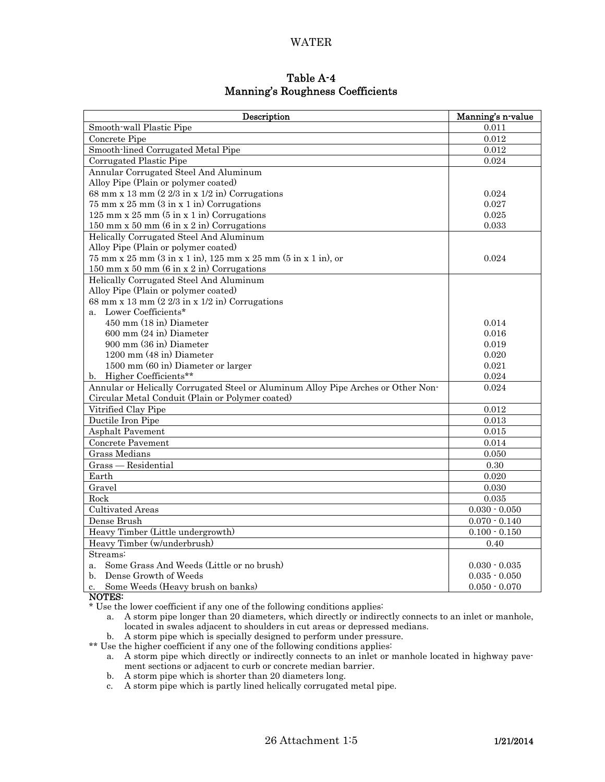#### WATER

### Table A-4 Manning's Roughness Coefficients

| Description                                                                          | Manning's n-value |  |  |
|--------------------------------------------------------------------------------------|-------------------|--|--|
| Smooth-wall Plastic Pipe                                                             | 0.011             |  |  |
| Concrete Pipe                                                                        | 0.012             |  |  |
| Smooth-lined Corrugated Metal Pipe                                                   | 0.012             |  |  |
| Corrugated Plastic Pipe                                                              | 0.024             |  |  |
| Annular Corrugated Steel And Aluminum                                                |                   |  |  |
| Alloy Pipe (Plain or polymer coated)                                                 |                   |  |  |
| 68 mm x 13 mm $(2\ 2/3$ in x $1/2$ in) Corrugations                                  | 0.024             |  |  |
| $75$ mm x $25$ mm $(3 \text{ in } x 1 \text{ in})$ Corrugations                      | 0.027             |  |  |
| 125 mm x 25 mm $(5 \text{ in } x 1 \text{ in})$ Corrugations                         | 0.025             |  |  |
| 150 mm x 50 mm $(6 \text{ in } x 2 \text{ in})$ Corrugations                         | 0.033             |  |  |
| Helically Corrugated Steel And Aluminum                                              |                   |  |  |
| Alloy Pipe (Plain or polymer coated)                                                 |                   |  |  |
| $75 \text{ mm} \times 25 \text{ mm}$ (3 in x 1 in), 125 mm x 25 mm (5 in x 1 in), or | 0.024             |  |  |
| 150 mm x 50 mm $(6 \text{ in } x 2 \text{ in})$ Corrugations                         |                   |  |  |
| Helically Corrugated Steel And Aluminum                                              |                   |  |  |
| Alloy Pipe (Plain or polymer coated)                                                 |                   |  |  |
| 68 mm x 13 mm $(2\ 2/3$ in x $1/2$ in) Corrugations                                  |                   |  |  |
| a. Lower Coefficients*                                                               |                   |  |  |
| 450 mm (18 in) Diameter                                                              | 0.014             |  |  |
| $600$ mm $(24$ in) Diameter                                                          | 0.016             |  |  |
| 900 mm (36 in) Diameter                                                              | 0.019             |  |  |
| 1200 mm (48 in) Diameter                                                             | 0.020             |  |  |
| 1500 mm (60 in) Diameter or larger                                                   | 0.021             |  |  |
| b. Higher Coefficients**                                                             | 0.024             |  |  |
| Annular or Helically Corrugated Steel or Aluminum Alloy Pipe Arches or Other Non-    | 0.024             |  |  |
| Circular Metal Conduit (Plain or Polymer coated)                                     |                   |  |  |
| Vitrified Clay Pipe                                                                  | $\,0.012\,$       |  |  |
| Ductile Iron Pipe                                                                    | 0.013             |  |  |
| <b>Asphalt Pavement</b>                                                              | 0.015             |  |  |
| Concrete Pavement                                                                    | 0.014             |  |  |
| <b>Grass Medians</b>                                                                 | 0.050             |  |  |
| Grass - Residential                                                                  | 0.30              |  |  |
| Earth                                                                                | 0.020             |  |  |
| Gravel                                                                               | 0.030             |  |  |
| Rock                                                                                 | 0.035             |  |  |
| <b>Cultivated Areas</b>                                                              | $0.030\cdot0.050$ |  |  |
| Dense Brush                                                                          | $0.070 - 0.140$   |  |  |
| Heavy Timber (Little undergrowth)                                                    | $0.100 - 0.150$   |  |  |
| Heavy Timber (w/underbrush)                                                          | 0.40              |  |  |
| Streams:                                                                             |                   |  |  |
| a. Some Grass And Weeds (Little or no brush)                                         | $0.030 - 0.035$   |  |  |
| Dense Growth of Weeds<br>$h_{-}$                                                     | $0.035 - 0.050$   |  |  |
| Some Weeds (Heavy brush on banks)<br>$c_{\cdot}$                                     | $0.050 - 0.070$   |  |  |

NOTES:

\* Use the lower coefficient if any one of the following conditions applies:

 a. A storm pipe longer than 20 diameters, which directly or indirectly connects to an inlet or manhole, located in swales adjacent to shoulders in cut areas or depressed medians.

b. A storm pipe which is specially designed to perform under pressure.

\*\* Use the higher coefficient if any one of the following conditions applies:

- a. A storm pipe which directly or indirectly connects to an inlet or manhole located in highway pavement sections or adjacent to curb or concrete median barrier.
- b. A storm pipe which is shorter than 20 diameters long.
- c. A storm pipe which is partly lined helically corrugated metal pipe.